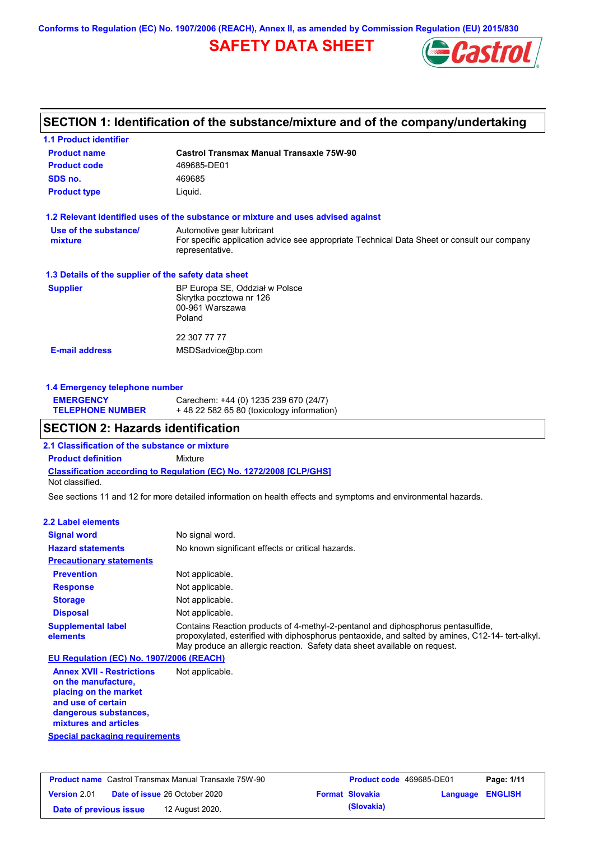**Conforms to Regulation (EC) No. 1907/2006 (REACH), Annex II, as amended by Commission Regulation (EU) 2015/830**

# **SAFETY DATA SHEET**



## **SECTION 1: Identification of the substance/mixture and of the company/undertaking**

| <b>1.1 Product identifier</b>                        |                                                                                                                                             |
|------------------------------------------------------|---------------------------------------------------------------------------------------------------------------------------------------------|
| <b>Product name</b>                                  | Castrol Transmax Manual Transaxle 75W-90                                                                                                    |
| <b>Product code</b>                                  | 469685-DE01                                                                                                                                 |
| SDS no.                                              | 469685                                                                                                                                      |
| <b>Product type</b>                                  | Liquid.                                                                                                                                     |
|                                                      | 1.2 Relevant identified uses of the substance or mixture and uses advised against                                                           |
| Use of the substance/<br>mixture                     | Automotive gear lubricant<br>For specific application advice see appropriate Technical Data Sheet or consult our company<br>representative. |
| 1.3 Details of the supplier of the safety data sheet |                                                                                                                                             |
| <b>Supplier</b>                                      | BP Europa SE, Oddział w Polsce<br>Skrytka pocztowa nr 126<br>00-961 Warszawa<br>Poland                                                      |
| <b>E-mail address</b>                                | 22 307 77 77<br>MSDSadvice@bp.com                                                                                                           |

### **1.4 Emergency telephone number**

| <b>EMERGENCY</b>        | Carechem: +44 (0) 1235 239 670 (24/7)     |
|-------------------------|-------------------------------------------|
| <b>TELEPHONE NUMBER</b> | +48 22 582 65 80 (toxicology information) |

### **SECTION 2: Hazards identification**

**2.1 Classification of the substance or mixture**

**Classification according to Regulation (EC) No. 1272/2008 [CLP/GHS] Product definition** Mixture Not classified.

See sections 11 and 12 for more detailed information on health effects and symptoms and environmental hazards.

### **2.2 Label elements**

| <b>Signal word</b>                       | No signal word.                                                                                                                                                                                                                                                   |
|------------------------------------------|-------------------------------------------------------------------------------------------------------------------------------------------------------------------------------------------------------------------------------------------------------------------|
| <b>Hazard statements</b>                 | No known significant effects or critical hazards.                                                                                                                                                                                                                 |
| <b>Precautionary statements</b>          |                                                                                                                                                                                                                                                                   |
| <b>Prevention</b>                        | Not applicable.                                                                                                                                                                                                                                                   |
| <b>Response</b>                          | Not applicable.                                                                                                                                                                                                                                                   |
| <b>Storage</b>                           | Not applicable.                                                                                                                                                                                                                                                   |
| <b>Disposal</b>                          | Not applicable.                                                                                                                                                                                                                                                   |
| <b>Supplemental label</b><br>elements    | Contains Reaction products of 4-methyl-2-pentanol and diphosphorus pentasulfide,<br>propoxylated, esterified with diphosphorus pentaoxide, and salted by amines, C12-14- tert-alkyl.<br>May produce an allergic reaction. Safety data sheet available on request. |
| EU Regulation (EC) No. 1907/2006 (REACH) |                                                                                                                                                                                                                                                                   |

**Annex XVII - Restrictions on the manufacture, placing on the market and use of certain dangerous substances, mixtures and articles** Not applicable.

**Special packaging requirements**

| <b>Product name</b> Castrol Transmax Manual Transaxle 75W-90 |                                      | <b>Product code</b> 469685-DE01 |                        | Page: 1/11              |  |
|--------------------------------------------------------------|--------------------------------------|---------------------------------|------------------------|-------------------------|--|
| <b>Version 2.01</b>                                          | <b>Date of issue 26 October 2020</b> |                                 | <b>Format Slovakia</b> | <b>Language ENGLISH</b> |  |
| Date of previous issue                                       | 12 August 2020.                      |                                 | (Slovakia)             |                         |  |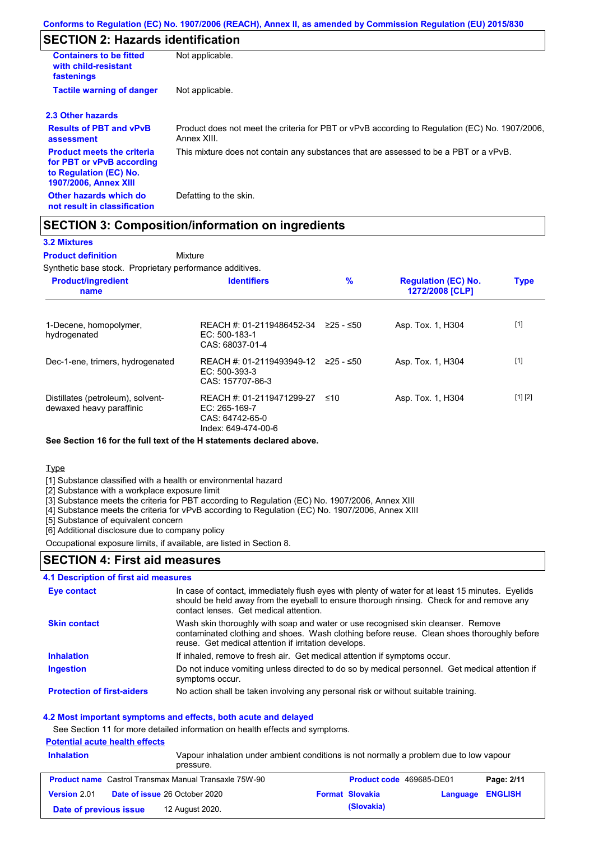# **SECTION 2: Hazards identification**

| <b>Containers to be fitted</b><br>with child-resistant<br>fastenings                                                     | Not applicable.                                                                                               |
|--------------------------------------------------------------------------------------------------------------------------|---------------------------------------------------------------------------------------------------------------|
| <b>Tactile warning of danger</b>                                                                                         | Not applicable.                                                                                               |
| 2.3 Other hazards                                                                                                        |                                                                                                               |
| <b>Results of PBT and vPvB</b><br>assessment                                                                             | Product does not meet the criteria for PBT or vPvB according to Regulation (EC) No. 1907/2006,<br>Annex XIII. |
| <b>Product meets the criteria</b><br>for PBT or vPvB according<br>to Regulation (EC) No.<br><b>1907/2006, Annex XIII</b> | This mixture does not contain any substances that are assessed to be a PBT or a vPvB.                         |
| Other hazards which do<br>not result in classification                                                                   | Defatting to the skin.                                                                                        |

### **SECTION 3: Composition/information on ingredients**

Mixture

### **3.2 Mixtures**

**Product definition**

Synthetic base stock. Proprietary performance additives.

| <b>Product/ingredient</b><br>name                             | <b>Identifiers</b>                                                                     | $\%$      | <b>Regulation (EC) No.</b><br>1272/2008 [CLP] | <b>Type</b> |
|---------------------------------------------------------------|----------------------------------------------------------------------------------------|-----------|-----------------------------------------------|-------------|
| 1-Decene, homopolymer,<br>hydrogenated                        | REACH #: 01-2119486452-34<br>$EC: 500-183-1$<br>CAS: 68037-01-4                        | 225 - ≤50 | Asp. Tox. 1, H304                             | $[1]$       |
| Dec-1-ene, trimers, hydrogenated                              | REACH #: 01-2119493949-12 ≥25 - ≤50<br>$EC: 500-393-3$<br>CAS: 157707-86-3             |           | Asp. Tox. 1, H304                             | $[1]$       |
| Distillates (petroleum), solvent-<br>dewaxed heavy paraffinic | REACH #: 01-2119471299-27<br>EC: $265-169-7$<br>CAS: 64742-65-0<br>Index: 649-474-00-6 | ≤10       | Asp. Tox. 1, H304                             | [1] [2]     |

### **See Section 16 for the full text of the H statements declared above.**

Type

[1] Substance classified with a health or environmental hazard

[2] Substance with a workplace exposure limit

[3] Substance meets the criteria for PBT according to Regulation (EC) No. 1907/2006, Annex XIII

[4] Substance meets the criteria for vPvB according to Regulation (EC) No. 1907/2006, Annex XIII

[5] Substance of equivalent concern

[6] Additional disclosure due to company policy

Occupational exposure limits, if available, are listed in Section 8.

### **SECTION 4: First aid measures**

# **4.1 Description of first aid measures**

| Eye contact                       | In case of contact, immediately flush eyes with plenty of water for at least 15 minutes. Eyelids<br>should be held away from the eyeball to ensure thorough rinsing. Check for and remove any<br>contact lenses. Get medical attention. |
|-----------------------------------|-----------------------------------------------------------------------------------------------------------------------------------------------------------------------------------------------------------------------------------------|
| <b>Skin contact</b>               | Wash skin thoroughly with soap and water or use recognised skin cleanser. Remove<br>contaminated clothing and shoes. Wash clothing before reuse. Clean shoes thoroughly before<br>reuse. Get medical attention if irritation develops.  |
| <b>Inhalation</b>                 | If inhaled, remove to fresh air. Get medical attention if symptoms occur.                                                                                                                                                               |
| <b>Ingestion</b>                  | Do not induce vomiting unless directed to do so by medical personnel. Get medical attention if<br>symptoms occur.                                                                                                                       |
| <b>Protection of first-aiders</b> | No action shall be taken involving any personal risk or without suitable training.                                                                                                                                                      |

### **4.2 Most important symptoms and effects, both acute and delayed**

See Section 11 for more detailed information on health effects and symptoms.

### **Potential acute health effects**

| <b>Inhalation</b>      | Vapour inhalation under ambient conditions is not normally a problem due to low vapour<br>pressure. |  |                          |                  |            |
|------------------------|-----------------------------------------------------------------------------------------------------|--|--------------------------|------------------|------------|
|                        | <b>Product name</b> Castrol Transmax Manual Transaxle 75W-90                                        |  | Product code 469685-DE01 |                  | Page: 2/11 |
| <b>Version 2.01</b>    | <b>Date of issue 26 October 2020</b>                                                                |  | <b>Format Slovakia</b>   | Language ENGLISH |            |
| Date of previous issue | 12 August 2020.                                                                                     |  | (Slovakia)               |                  |            |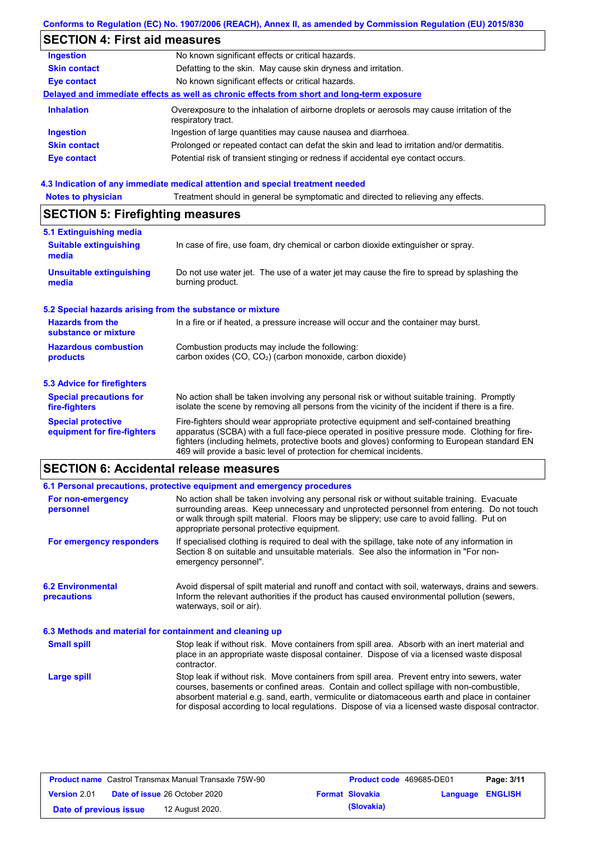## **Conforms to Regulation (EC) No. 1907/2006 (REACH), Annex II, as amended by Commission Regulation (EU) 2015/830**

# **SECTION 4: First aid measures**

| <b>Ingestion</b>    | No known significant effects or critical hazards.                                                                 |
|---------------------|-------------------------------------------------------------------------------------------------------------------|
| <b>Skin contact</b> | Defatting to the skin. May cause skin dryness and irritation.                                                     |
| <b>Eye contact</b>  | No known significant effects or critical hazards.                                                                 |
|                     | Delayed and immediate effects as well as chronic effects from short and long-term exposure                        |
| <b>Inhalation</b>   | Overexposure to the inhalation of airborne droplets or aerosols may cause irritation of the<br>respiratory tract. |
| <b>Ingestion</b>    | Ingestion of large quantities may cause nausea and diarrhoea.                                                     |
| <b>Skin contact</b> | Prolonged or repeated contact can defat the skin and lead to irritation and/or dermatitis.                        |
| Eye contact         | Potential risk of transient stinging or redness if accidental eye contact occurs.                                 |
|                     |                                                                                                                   |

### **4.3 Indication of any immediate medical attention and special treatment needed**

| Treatment should in general be symptomatic and directed to relieving any effects.<br><b>Notes to physician</b> |                                                                                                                                                                                                                                                                                                                                                                   |  |  |  |
|----------------------------------------------------------------------------------------------------------------|-------------------------------------------------------------------------------------------------------------------------------------------------------------------------------------------------------------------------------------------------------------------------------------------------------------------------------------------------------------------|--|--|--|
| <b>SECTION 5: Firefighting measures</b>                                                                        |                                                                                                                                                                                                                                                                                                                                                                   |  |  |  |
| 5.1 Extinguishing media                                                                                        |                                                                                                                                                                                                                                                                                                                                                                   |  |  |  |
| <b>Suitable extinguishing</b><br>media                                                                         | In case of fire, use foam, dry chemical or carbon dioxide extinguisher or spray.                                                                                                                                                                                                                                                                                  |  |  |  |
| <b>Unsuitable extinguishing</b><br>media                                                                       | Do not use water jet. The use of a water jet may cause the fire to spread by splashing the<br>burning product.                                                                                                                                                                                                                                                    |  |  |  |
| 5.2 Special hazards arising from the substance or mixture                                                      |                                                                                                                                                                                                                                                                                                                                                                   |  |  |  |
| <b>Hazards from the</b><br>substance or mixture                                                                | In a fire or if heated, a pressure increase will occur and the container may burst.                                                                                                                                                                                                                                                                               |  |  |  |
| <b>Hazardous combustion</b><br>products                                                                        | Combustion products may include the following:<br>carbon oxides (CO, CO <sub>2</sub> ) (carbon monoxide, carbon dioxide)                                                                                                                                                                                                                                          |  |  |  |
| <b>5.3 Advice for firefighters</b>                                                                             |                                                                                                                                                                                                                                                                                                                                                                   |  |  |  |
| <b>Special precautions for</b><br>fire-fighters                                                                | No action shall be taken involving any personal risk or without suitable training. Promptly<br>isolate the scene by removing all persons from the vicinity of the incident if there is a fire.                                                                                                                                                                    |  |  |  |
| <b>Special protective</b><br>equipment for fire-fighters                                                       | Fire-fighters should wear appropriate protective equipment and self-contained breathing<br>apparatus (SCBA) with a full face-piece operated in positive pressure mode. Clothing for fire-<br>fighters (including helmets, protective boots and gloves) conforming to European standard EN<br>469 will provide a basic level of protection for chemical incidents. |  |  |  |

# **SECTION 6: Accidental release measures**

|                                                          | 6.1 Personal precautions, protective equipment and emergency procedures                                                                                                                                                                                                                                                                                                                        |
|----------------------------------------------------------|------------------------------------------------------------------------------------------------------------------------------------------------------------------------------------------------------------------------------------------------------------------------------------------------------------------------------------------------------------------------------------------------|
| For non-emergency<br>personnel                           | No action shall be taken involving any personal risk or without suitable training. Evacuate<br>surrounding areas. Keep unnecessary and unprotected personnel from entering. Do not touch<br>or walk through spilt material. Floors may be slippery; use care to avoid falling. Put on<br>appropriate personal protective equipment.                                                            |
| For emergency responders                                 | If specialised clothing is required to deal with the spillage, take note of any information in<br>Section 8 on suitable and unsuitable materials. See also the information in "For non-<br>emergency personnel".                                                                                                                                                                               |
| <b>6.2 Environmental</b><br><b>precautions</b>           | Avoid dispersal of spilt material and runoff and contact with soil, waterways, drains and sewers.<br>Inform the relevant authorities if the product has caused environmental pollution (sewers,<br>waterways, soil or air).                                                                                                                                                                    |
| 6.3 Methods and material for containment and cleaning up |                                                                                                                                                                                                                                                                                                                                                                                                |
| <b>Small spill</b>                                       | Stop leak if without risk. Move containers from spill area. Absorb with an inert material and<br>place in an appropriate waste disposal container. Dispose of via a licensed waste disposal<br>contractor.                                                                                                                                                                                     |
| Large spill                                              | Stop leak if without risk. Move containers from spill area. Prevent entry into sewers, water<br>courses, basements or confined areas. Contain and collect spillage with non-combustible,<br>absorbent material e.g. sand, earth, vermiculite or diatomaceous earth and place in container<br>for disposal according to local regulations. Dispose of via a licensed waste disposal contractor. |

| <b>Product name</b> Castrol Transmax Manual Transaxle 75W-90 |  | <b>Product code</b> 469685-DE01      |  | Page: 3/11             |                         |  |
|--------------------------------------------------------------|--|--------------------------------------|--|------------------------|-------------------------|--|
| <b>Version 2.01</b>                                          |  | <b>Date of issue 26 October 2020</b> |  | <b>Format Slovakia</b> | <b>Language ENGLISH</b> |  |
| Date of previous issue                                       |  | 12 August 2020.                      |  | (Slovakia)             |                         |  |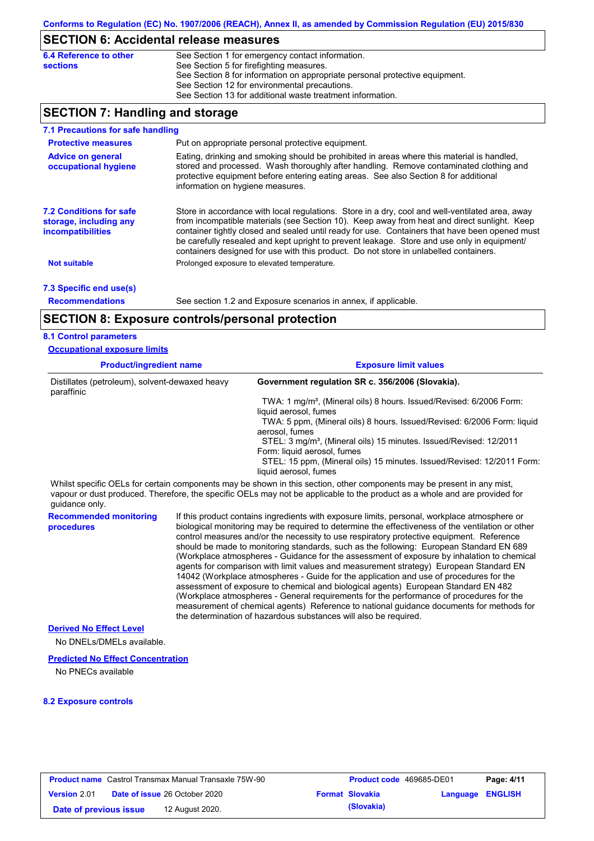## **SECTION 6: Accidental release measures**

| 6.4 Reference to other | See Section 1 for emergency contact information.                            |
|------------------------|-----------------------------------------------------------------------------|
| <b>sections</b>        | See Section 5 for firefighting measures.                                    |
|                        | See Section 8 for information on appropriate personal protective equipment. |
|                        | See Section 12 for environmental precautions.                               |
|                        | See Section 13 for additional waste treatment information.                  |

## **SECTION 7: Handling and storage**

| 7.1 Precautions for safe handling                                                    |                                                                                                                                                                                                                                                                                                                                                                                                                                                                                          |
|--------------------------------------------------------------------------------------|------------------------------------------------------------------------------------------------------------------------------------------------------------------------------------------------------------------------------------------------------------------------------------------------------------------------------------------------------------------------------------------------------------------------------------------------------------------------------------------|
| <b>Protective measures</b>                                                           | Put on appropriate personal protective equipment.                                                                                                                                                                                                                                                                                                                                                                                                                                        |
| <b>Advice on general</b><br>occupational hygiene                                     | Eating, drinking and smoking should be prohibited in areas where this material is handled.<br>stored and processed. Wash thoroughly after handling. Remove contaminated clothing and<br>protective equipment before entering eating areas. See also Section 8 for additional<br>information on hygiene measures.                                                                                                                                                                         |
| <b>7.2 Conditions for safe</b><br>storage, including any<br><i>incompatibilities</i> | Store in accordance with local regulations. Store in a dry, cool and well-ventilated area, away<br>from incompatible materials (see Section 10). Keep away from heat and direct sunlight. Keep<br>container tightly closed and sealed until ready for use. Containers that have been opened must<br>be carefully resealed and kept upright to prevent leakage. Store and use only in equipment/<br>containers designed for use with this product. Do not store in unlabelled containers. |
| <b>Not suitable</b>                                                                  | Prolonged exposure to elevated temperature.                                                                                                                                                                                                                                                                                                                                                                                                                                              |
| 7.3 Specific end use(s)                                                              |                                                                                                                                                                                                                                                                                                                                                                                                                                                                                          |
| <b>Recommendations</b>                                                               | See section 1.2 and Exposure scenarios in annex, if applicable.                                                                                                                                                                                                                                                                                                                                                                                                                          |

### **SECTION 8: Exposure controls/personal protection**

#### **8.1 Control parameters**

| <b>Occupational exposure limits</b>                          |                                                                                                                                                                                                                                                                                              |
|--------------------------------------------------------------|----------------------------------------------------------------------------------------------------------------------------------------------------------------------------------------------------------------------------------------------------------------------------------------------|
| <b>Product/ingredient name</b>                               | <b>Exposure limit values</b>                                                                                                                                                                                                                                                                 |
| Distillates (petroleum), solvent-dewaxed heavy<br>paraffinic | Government regulation SR c. 356/2006 (Slovakia).                                                                                                                                                                                                                                             |
|                                                              | TWA: 1 mg/m <sup>3</sup> , (Mineral oils) 8 hours. Issued/Revised: 6/2006 Form:<br>liquid aerosol, fumes                                                                                                                                                                                     |
|                                                              | TWA: 5 ppm, (Mineral oils) 8 hours. Issued/Revised: 6/2006 Form: liquid<br>aerosol, fumes                                                                                                                                                                                                    |
|                                                              | STEL: 3 mg/m <sup>3</sup> , (Mineral oils) 15 minutes. Issued/Revised: 12/2011<br>Form: liquid aerosol, fumes                                                                                                                                                                                |
|                                                              | STEL: 15 ppm, (Mineral oils) 15 minutes. Issued/Revised: 12/2011 Form:<br>liquid aerosol, fumes                                                                                                                                                                                              |
| quidance only.                                               | Whilst specific OELs for certain components may be shown in this section, other components may be present in any mist,<br>vapour or dust produced. Therefore, the specific OELs may not be applicable to the product as a whole and are provided for                                         |
| <b>Recommended monitoring</b><br>procedures                  | If this product contains ingredients with exposure limits, personal, workplace atmosphere or<br>biological monitoring may be required to determine the effectiveness of the ventilation or other<br>control measures and/or the necessity to use respiratory protective equipment. Reference |

control measures and/or the necessity to use respiratory protective equipment. Reference should be made to monitoring standards, such as the following: European Standard EN 689 (Workplace atmospheres - Guidance for the assessment of exposure by inhalation to chemical agents for comparison with limit values and measurement strategy) European Standard EN 14042 (Workplace atmospheres - Guide for the application and use of procedures for the assessment of exposure to chemical and biological agents) European Standard EN 482 (Workplace atmospheres - General requirements for the performance of procedures for the measurement of chemical agents) Reference to national guidance documents for methods for the determination of hazardous substances will also be required.

**Derived No Effect Level**

No DNELs/DMELs available.

#### **Predicted No Effect Concentration**

No PNECs available

#### **8.2 Exposure controls**

| <b>Product name</b> Castrol Transmax Manual Transaxle 75W-90 |                                      | <b>Product code</b> 469685-DE01 |                        | Page: 4/11       |  |
|--------------------------------------------------------------|--------------------------------------|---------------------------------|------------------------|------------------|--|
| <b>Version 2.01</b>                                          | <b>Date of issue 26 October 2020</b> |                                 | <b>Format Slovakia</b> | Language ENGLISH |  |
| Date of previous issue                                       | 12 August 2020.                      |                                 | (Slovakia)             |                  |  |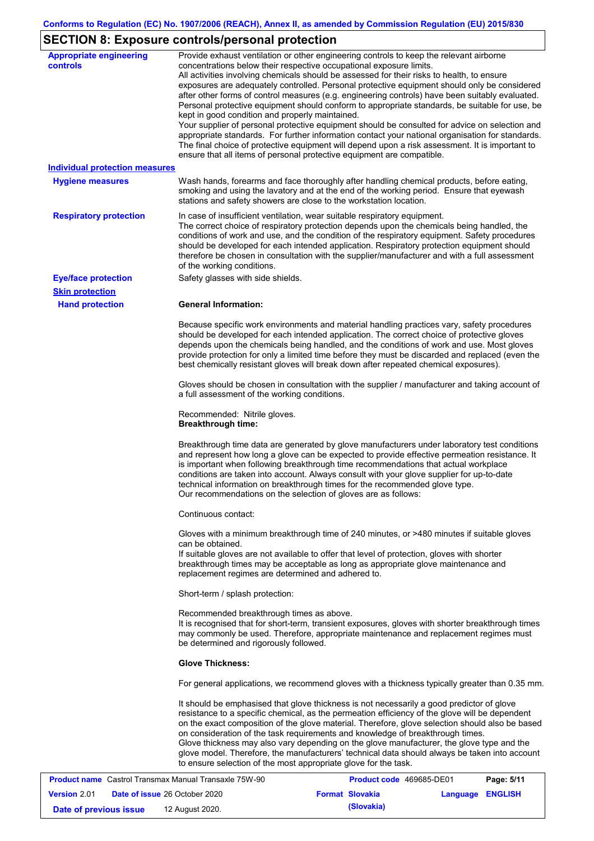# **SECTION 8: Exposure controls/personal protection**

| <b>Appropriate engineering</b><br>controls | Provide exhaust ventilation or other engineering controls to keep the relevant airborne<br>concentrations below their respective occupational exposure limits.<br>All activities involving chemicals should be assessed for their risks to health, to ensure<br>exposures are adequately controlled. Personal protective equipment should only be considered<br>after other forms of control measures (e.g. engineering controls) have been suitably evaluated.<br>Personal protective equipment should conform to appropriate standards, be suitable for use, be<br>kept in good condition and properly maintained.<br>Your supplier of personal protective equipment should be consulted for advice on selection and<br>appropriate standards. For further information contact your national organisation for standards.<br>The final choice of protective equipment will depend upon a risk assessment. It is important to<br>ensure that all items of personal protective equipment are compatible. |
|--------------------------------------------|---------------------------------------------------------------------------------------------------------------------------------------------------------------------------------------------------------------------------------------------------------------------------------------------------------------------------------------------------------------------------------------------------------------------------------------------------------------------------------------------------------------------------------------------------------------------------------------------------------------------------------------------------------------------------------------------------------------------------------------------------------------------------------------------------------------------------------------------------------------------------------------------------------------------------------------------------------------------------------------------------------|
| <b>Individual protection measures</b>      |                                                                                                                                                                                                                                                                                                                                                                                                                                                                                                                                                                                                                                                                                                                                                                                                                                                                                                                                                                                                         |
| <b>Hygiene measures</b>                    | Wash hands, forearms and face thoroughly after handling chemical products, before eating,<br>smoking and using the lavatory and at the end of the working period. Ensure that eyewash<br>stations and safety showers are close to the workstation location.                                                                                                                                                                                                                                                                                                                                                                                                                                                                                                                                                                                                                                                                                                                                             |
| <b>Respiratory protection</b>              | In case of insufficient ventilation, wear suitable respiratory equipment.<br>The correct choice of respiratory protection depends upon the chemicals being handled, the<br>conditions of work and use, and the condition of the respiratory equipment. Safety procedures<br>should be developed for each intended application. Respiratory protection equipment should<br>therefore be chosen in consultation with the supplier/manufacturer and with a full assessment<br>of the working conditions.                                                                                                                                                                                                                                                                                                                                                                                                                                                                                                   |
| <b>Eye/face protection</b>                 | Safety glasses with side shields.                                                                                                                                                                                                                                                                                                                                                                                                                                                                                                                                                                                                                                                                                                                                                                                                                                                                                                                                                                       |
| <b>Skin protection</b>                     |                                                                                                                                                                                                                                                                                                                                                                                                                                                                                                                                                                                                                                                                                                                                                                                                                                                                                                                                                                                                         |
| <b>Hand protection</b>                     | <b>General Information:</b>                                                                                                                                                                                                                                                                                                                                                                                                                                                                                                                                                                                                                                                                                                                                                                                                                                                                                                                                                                             |
|                                            | Because specific work environments and material handling practices vary, safety procedures<br>should be developed for each intended application. The correct choice of protective gloves<br>depends upon the chemicals being handled, and the conditions of work and use. Most gloves<br>provide protection for only a limited time before they must be discarded and replaced (even the<br>best chemically resistant gloves will break down after repeated chemical exposures).                                                                                                                                                                                                                                                                                                                                                                                                                                                                                                                        |
|                                            | Gloves should be chosen in consultation with the supplier / manufacturer and taking account of<br>a full assessment of the working conditions.                                                                                                                                                                                                                                                                                                                                                                                                                                                                                                                                                                                                                                                                                                                                                                                                                                                          |
|                                            | Recommended: Nitrile gloves.<br><b>Breakthrough time:</b>                                                                                                                                                                                                                                                                                                                                                                                                                                                                                                                                                                                                                                                                                                                                                                                                                                                                                                                                               |
|                                            | Breakthrough time data are generated by glove manufacturers under laboratory test conditions<br>and represent how long a glove can be expected to provide effective permeation resistance. It<br>is important when following breakthrough time recommendations that actual workplace<br>conditions are taken into account. Always consult with your glove supplier for up-to-date<br>technical information on breakthrough times for the recommended glove type.<br>Our recommendations on the selection of gloves are as follows:                                                                                                                                                                                                                                                                                                                                                                                                                                                                      |
|                                            | Continuous contact:                                                                                                                                                                                                                                                                                                                                                                                                                                                                                                                                                                                                                                                                                                                                                                                                                                                                                                                                                                                     |
|                                            | Gloves with a minimum breakthrough time of 240 minutes, or >480 minutes if suitable gloves<br>can be obtained.<br>If suitable gloves are not available to offer that level of protection, gloves with shorter<br>breakthrough times may be acceptable as long as appropriate glove maintenance and<br>replacement regimes are determined and adhered to.                                                                                                                                                                                                                                                                                                                                                                                                                                                                                                                                                                                                                                                |
|                                            | Short-term / splash protection:                                                                                                                                                                                                                                                                                                                                                                                                                                                                                                                                                                                                                                                                                                                                                                                                                                                                                                                                                                         |
|                                            | Recommended breakthrough times as above.<br>It is recognised that for short-term, transient exposures, gloves with shorter breakthrough times<br>may commonly be used. Therefore, appropriate maintenance and replacement regimes must<br>be determined and rigorously followed.                                                                                                                                                                                                                                                                                                                                                                                                                                                                                                                                                                                                                                                                                                                        |
|                                            | <b>Glove Thickness:</b>                                                                                                                                                                                                                                                                                                                                                                                                                                                                                                                                                                                                                                                                                                                                                                                                                                                                                                                                                                                 |
|                                            | For general applications, we recommend gloves with a thickness typically greater than 0.35 mm.                                                                                                                                                                                                                                                                                                                                                                                                                                                                                                                                                                                                                                                                                                                                                                                                                                                                                                          |
|                                            | It should be emphasised that glove thickness is not necessarily a good predictor of glove<br>resistance to a specific chemical, as the permeation efficiency of the glove will be dependent<br>on the exact composition of the glove material. Therefore, glove selection should also be based<br>on consideration of the task requirements and knowledge of breakthrough times.<br>Glove thickness may also vary depending on the glove manufacturer, the glove type and the<br>glove model. Therefore, the manufacturers' technical data should always be taken into account<br>to ensure selection of the most appropriate glove for the task.                                                                                                                                                                                                                                                                                                                                                       |
|                                            | Castrol Transmay Manual Transayle 75\N, 80<br><b>Draduct code, 160695 DE01</b><br>Dao: E/44                                                                                                                                                                                                                                                                                                                                                                                                                                                                                                                                                                                                                                                                                                                                                                                                                                                                                                             |

| <b>Product name</b> Castrol Transmax Manual Transaxle 75W-90 |  | <b>Product code</b> 469685-DE01      |  | Page: 5/11             |                  |  |
|--------------------------------------------------------------|--|--------------------------------------|--|------------------------|------------------|--|
| <b>Version 2.01</b>                                          |  | <b>Date of issue 26 October 2020</b> |  | <b>Format Slovakia</b> | Language ENGLISH |  |
| Date of previous issue                                       |  | 12 August 2020.                      |  | (Slovakia)             |                  |  |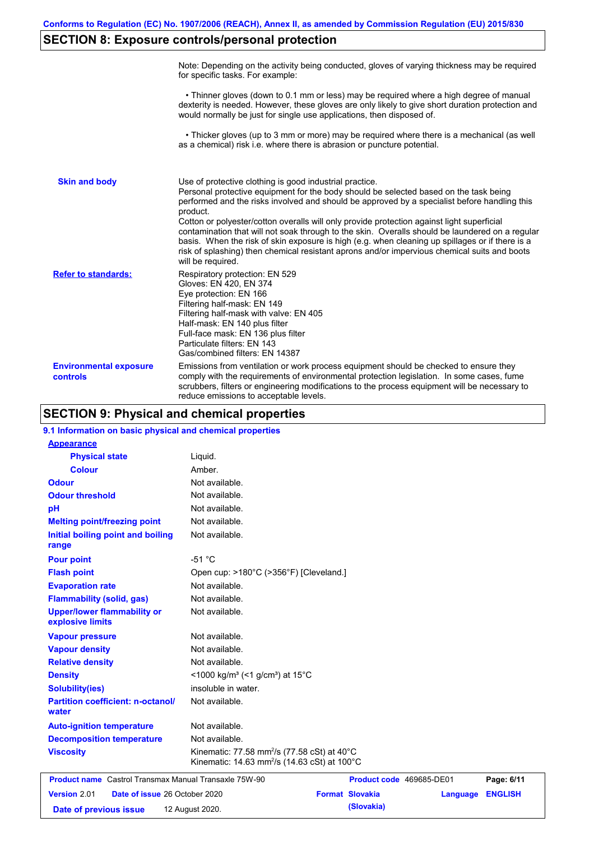# **SECTION 8: Exposure controls/personal protection**

|                                           | Note: Depending on the activity being conducted, gloves of varying thickness may be required<br>for specific tasks. For example:                                                                                                                                                                                                                                                                                                                                                                                                                                                                                                                                                      |
|-------------------------------------------|---------------------------------------------------------------------------------------------------------------------------------------------------------------------------------------------------------------------------------------------------------------------------------------------------------------------------------------------------------------------------------------------------------------------------------------------------------------------------------------------------------------------------------------------------------------------------------------------------------------------------------------------------------------------------------------|
|                                           | • Thinner gloves (down to 0.1 mm or less) may be required where a high degree of manual<br>dexterity is needed. However, these gloves are only likely to give short duration protection and<br>would normally be just for single use applications, then disposed of.                                                                                                                                                                                                                                                                                                                                                                                                                  |
|                                           | • Thicker gloves (up to 3 mm or more) may be required where there is a mechanical (as well<br>as a chemical) risk i.e. where there is abrasion or puncture potential.                                                                                                                                                                                                                                                                                                                                                                                                                                                                                                                 |
| <b>Skin and body</b>                      | Use of protective clothing is good industrial practice.<br>Personal protective equipment for the body should be selected based on the task being<br>performed and the risks involved and should be approved by a specialist before handling this<br>product.<br>Cotton or polyester/cotton overalls will only provide protection against light superficial<br>contamination that will not soak through to the skin. Overalls should be laundered on a regular<br>basis. When the risk of skin exposure is high (e.g. when cleaning up spillages or if there is a<br>risk of splashing) then chemical resistant aprons and/or impervious chemical suits and boots<br>will be required. |
| <b>Refer to standards:</b>                | Respiratory protection: EN 529<br>Gloves: EN 420, EN 374<br>Eye protection: EN 166<br>Filtering half-mask: EN 149<br>Filtering half-mask with valve: EN 405<br>Half-mask: EN 140 plus filter<br>Full-face mask: EN 136 plus filter<br>Particulate filters: EN 143<br>Gas/combined filters: EN 14387                                                                                                                                                                                                                                                                                                                                                                                   |
| <b>Environmental exposure</b><br>controls | Emissions from ventilation or work process equipment should be checked to ensure they<br>comply with the requirements of environmental protection legislation. In some cases, fume<br>scrubbers, filters or engineering modifications to the process equipment will be necessary to<br>reduce emissions to acceptable levels.                                                                                                                                                                                                                                                                                                                                                         |

## **SECTION 9: Physical and chemical properties**

| 9.1 Information on basic physical and chemical properties    |                                                                                                                     |                          |          |                |
|--------------------------------------------------------------|---------------------------------------------------------------------------------------------------------------------|--------------------------|----------|----------------|
| <b>Appearance</b>                                            |                                                                                                                     |                          |          |                |
| <b>Physical state</b>                                        | Liquid.                                                                                                             |                          |          |                |
| <b>Colour</b>                                                | Amber                                                                                                               |                          |          |                |
| <b>Odour</b>                                                 | Not available.                                                                                                      |                          |          |                |
| <b>Odour threshold</b>                                       | Not available.                                                                                                      |                          |          |                |
| pH                                                           | Not available.                                                                                                      |                          |          |                |
| <b>Melting point/freezing point</b>                          | Not available.                                                                                                      |                          |          |                |
| Initial boiling point and boiling<br>range                   | Not available.                                                                                                      |                          |          |                |
| <b>Pour point</b>                                            | $-51 °C$                                                                                                            |                          |          |                |
| <b>Flash point</b>                                           | Open cup: >180°C (>356°F) [Cleveland.]                                                                              |                          |          |                |
| <b>Evaporation rate</b>                                      | Not available.                                                                                                      |                          |          |                |
| <b>Flammability (solid, gas)</b>                             | Not available.                                                                                                      |                          |          |                |
| <b>Upper/lower flammability or</b><br>explosive limits       | Not available.                                                                                                      |                          |          |                |
| <b>Vapour pressure</b>                                       | Not available.                                                                                                      |                          |          |                |
| <b>Vapour density</b>                                        | Not available.                                                                                                      |                          |          |                |
| <b>Relative density</b>                                      | Not available.                                                                                                      |                          |          |                |
| <b>Density</b>                                               | $<$ 1000 kg/m <sup>3</sup> (<1 g/cm <sup>3</sup> ) at 15 <sup>°</sup> C                                             |                          |          |                |
| <b>Solubility(ies)</b>                                       | insoluble in water.                                                                                                 |                          |          |                |
| <b>Partition coefficient: n-octanol/</b><br>water            | Not available.                                                                                                      |                          |          |                |
| <b>Auto-ignition temperature</b>                             | Not available.                                                                                                      |                          |          |                |
| <b>Decomposition temperature</b>                             | Not available.                                                                                                      |                          |          |                |
| <b>Viscosity</b>                                             | Kinematic: 77.58 mm <sup>2</sup> /s (77.58 cSt) at 40°C<br>Kinematic: 14.63 mm <sup>2</sup> /s (14.63 cSt) at 100°C |                          |          |                |
| <b>Product name</b> Castrol Transmax Manual Transaxle 75W-90 |                                                                                                                     | Product code 469685-DE01 |          | Page: 6/11     |
| Version 2.01<br>Date of issue 26 October 2020                |                                                                                                                     | <b>Format Slovakia</b>   | Language | <b>ENGLISH</b> |
| Date of previous issue                                       | 12 August 2020.                                                                                                     | (Slovakia)               |          |                |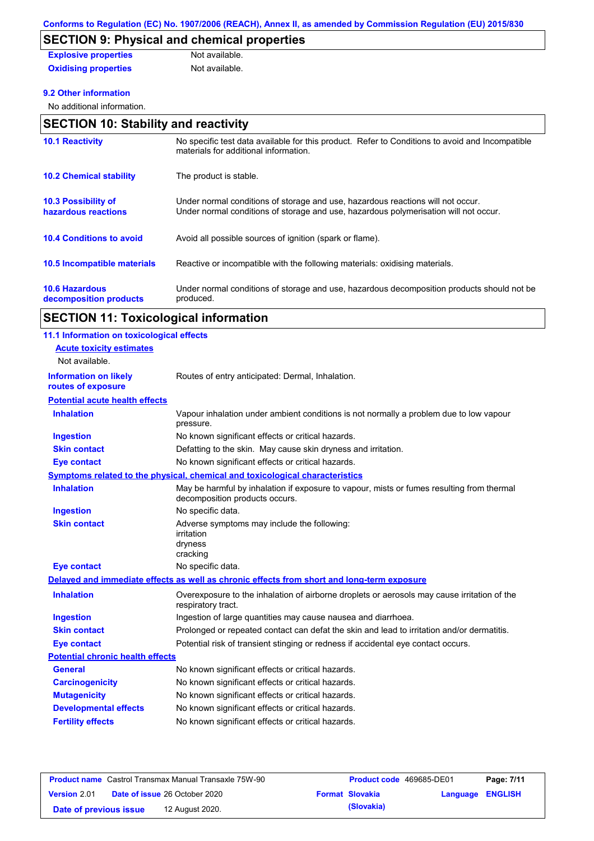# **SECTION 9: Physical and chemical properties**

| <b>Explosive properties</b> | Not available. |
|-----------------------------|----------------|
| <b>Oxidising properties</b> | Not available. |

### **9.2 Other information**

No additional information.

## **SECTION 10: Stability and reactivity**

| <b>10.1 Reactivity</b>                            | No specific test data available for this product. Refer to Conditions to avoid and Incompatible<br>materials for additional information.                                |
|---------------------------------------------------|-------------------------------------------------------------------------------------------------------------------------------------------------------------------------|
| <b>10.2 Chemical stability</b>                    | The product is stable.                                                                                                                                                  |
| <b>10.3 Possibility of</b><br>hazardous reactions | Under normal conditions of storage and use, hazardous reactions will not occur.<br>Under normal conditions of storage and use, hazardous polymerisation will not occur. |
| <b>10.4 Conditions to avoid</b>                   | Avoid all possible sources of ignition (spark or flame).                                                                                                                |
| 10.5 Incompatible materials                       | Reactive or incompatible with the following materials: oxidising materials.                                                                                             |
| <b>10.6 Hazardous</b><br>decomposition products   | Under normal conditions of storage and use, hazardous decomposition products should not be<br>produced.                                                                 |

# **SECTION 11: Toxicological information**

| 11.1 Information on toxicological effects          |                                                                                                                             |
|----------------------------------------------------|-----------------------------------------------------------------------------------------------------------------------------|
| <b>Acute toxicity estimates</b>                    |                                                                                                                             |
| Not available.                                     |                                                                                                                             |
| <b>Information on likely</b><br>routes of exposure | Routes of entry anticipated: Dermal, Inhalation.                                                                            |
| <b>Potential acute health effects</b>              |                                                                                                                             |
| <b>Inhalation</b>                                  | Vapour inhalation under ambient conditions is not normally a problem due to low vapour<br>pressure.                         |
| <b>Ingestion</b>                                   | No known significant effects or critical hazards.                                                                           |
| <b>Skin contact</b>                                | Defatting to the skin. May cause skin dryness and irritation.                                                               |
| <b>Eye contact</b>                                 | No known significant effects or critical hazards.                                                                           |
|                                                    | <b>Symptoms related to the physical, chemical and toxicological characteristics</b>                                         |
| <b>Inhalation</b>                                  | May be harmful by inhalation if exposure to vapour, mists or fumes resulting from thermal<br>decomposition products occurs. |
| <b>Ingestion</b>                                   | No specific data.                                                                                                           |
| <b>Skin contact</b>                                | Adverse symptoms may include the following:<br>irritation<br>dryness<br>cracking                                            |
| <b>Eye contact</b>                                 | No specific data.                                                                                                           |
|                                                    | Delayed and immediate effects as well as chronic effects from short and long-term exposure                                  |
| <b>Inhalation</b>                                  | Overexposure to the inhalation of airborne droplets or aerosols may cause irritation of the<br>respiratory tract.           |
| <b>Ingestion</b>                                   | Ingestion of large quantities may cause nausea and diarrhoea.                                                               |
| <b>Skin contact</b>                                | Prolonged or repeated contact can defat the skin and lead to irritation and/or dermatitis.                                  |
| <b>Eye contact</b>                                 | Potential risk of transient stinging or redness if accidental eye contact occurs.                                           |
| <b>Potential chronic health effects</b>            |                                                                                                                             |
| <b>General</b>                                     | No known significant effects or critical hazards.                                                                           |
| <b>Carcinogenicity</b>                             | No known significant effects or critical hazards.                                                                           |
| <b>Mutagenicity</b>                                | No known significant effects or critical hazards.                                                                           |
| <b>Developmental effects</b>                       | No known significant effects or critical hazards.                                                                           |
| <b>Fertility effects</b>                           | No known significant effects or critical hazards.                                                                           |

| <b>Product name</b> Castrol Transmax Manual Transaxle 75W-90 |                                      | <b>Product code</b> 469685-DE01 |                        | Page: 7/11       |  |
|--------------------------------------------------------------|--------------------------------------|---------------------------------|------------------------|------------------|--|
| <b>Version</b> 2.01                                          | <b>Date of issue 26 October 2020</b> |                                 | <b>Format Slovakia</b> | Language ENGLISH |  |
| Date of previous issue                                       | 12 August 2020.                      |                                 | (Slovakia)             |                  |  |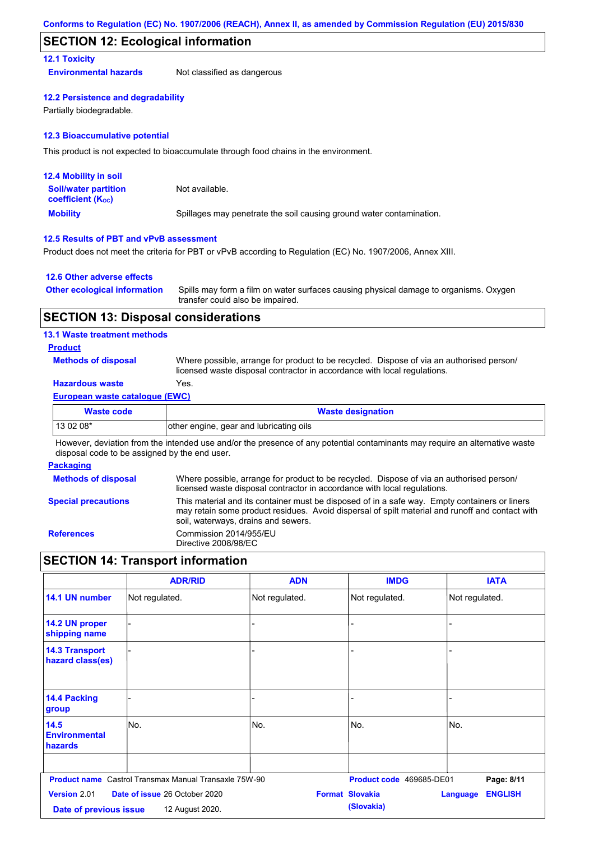### **SECTION 12: Ecological information**

### **12.1 Toxicity**

**Environmental hazards** Not classified as dangerous

#### **12.2 Persistence and degradability**

Partially biodegradable.

#### **12.3 Bioaccumulative potential**

This product is not expected to bioaccumulate through food chains in the environment.

| <b>12.4 Mobility in soil</b>                                  |                                                                      |
|---------------------------------------------------------------|----------------------------------------------------------------------|
| <b>Soil/water partition</b><br>coefficient (K <sub>oc</sub> ) | Not available.                                                       |
| <b>Mobility</b>                                               | Spillages may penetrate the soil causing ground water contamination. |

### **12.5 Results of PBT and vPvB assessment**

Product does not meet the criteria for PBT or vPvB according to Regulation (EC) No. 1907/2006, Annex XIII.

#### **12.6 Other adverse effects**

| <b>Other ecological information</b> | Spills may form a film on water surfaces causing physical damage to organisms. Oxygen |
|-------------------------------------|---------------------------------------------------------------------------------------|
|                                     | transfer could also be impaired.                                                      |

### **SECTION 13: Disposal considerations**

### **13.1 Waste treatment methods**

### **Product**

**Methods of disposal**

Where possible, arrange for product to be recycled. Dispose of via an authorised person/ licensed waste disposal contractor in accordance with local regulations.

### **Hazardous waste** Yes.

#### **European waste catalogue (EWC)**

| <b>Waste code</b> | <b>Waste designation</b>                |
|-------------------|-----------------------------------------|
| $130208*$         | other engine, gear and lubricating oils |
| .<br>.            | .<br>.<br>.<br>$\cdots$                 |

However, deviation from the intended use and/or the presence of any potential contaminants may require an alternative waste disposal code to be assigned by the end user.

#### **Packaging**

| <b>Methods of disposal</b> | Where possible, arrange for product to be recycled. Dispose of via an authorised person/                                                                                                                                                |
|----------------------------|-----------------------------------------------------------------------------------------------------------------------------------------------------------------------------------------------------------------------------------------|
|                            | licensed waste disposal contractor in accordance with local regulations.                                                                                                                                                                |
| <b>Special precautions</b> | This material and its container must be disposed of in a safe way. Empty containers or liners<br>may retain some product residues. Avoid dispersal of spilt material and runoff and contact with<br>soil, waterways, drains and sewers. |
| <b>References</b>          | Commission 2014/955/EU<br>Directive 2008/98/EC                                                                                                                                                                                          |

## **SECTION 14: Transport information**

|                                                | <b>ADR/RID</b>                                               | <b>ADN</b>     | <b>IMDG</b>                          | <b>IATA</b>                       |
|------------------------------------------------|--------------------------------------------------------------|----------------|--------------------------------------|-----------------------------------|
| 14.1 UN number                                 | Not regulated.                                               | Not regulated. | Not regulated.                       | Not regulated.                    |
| 14.2 UN proper<br>shipping name                |                                                              |                |                                      |                                   |
| <b>14.3 Transport</b><br>hazard class(es)      |                                                              |                |                                      |                                   |
| 14.4 Packing<br>group                          |                                                              |                |                                      |                                   |
| 14.5<br><b>Environmental</b><br><b>hazards</b> | No.                                                          | No.            | No.                                  | No.                               |
|                                                | <b>Product name</b> Castrol Transmax Manual Transaxle 75W-90 |                | Product code 469685-DE01             | Page: 8/11                        |
| <b>Version 2.01</b><br>Date of previous issue  | <b>Date of issue 26 October 2020</b><br>12 August 2020.      |                | <b>Format Slovakia</b><br>(Slovakia) | <b>ENGLISH</b><br><b>Language</b> |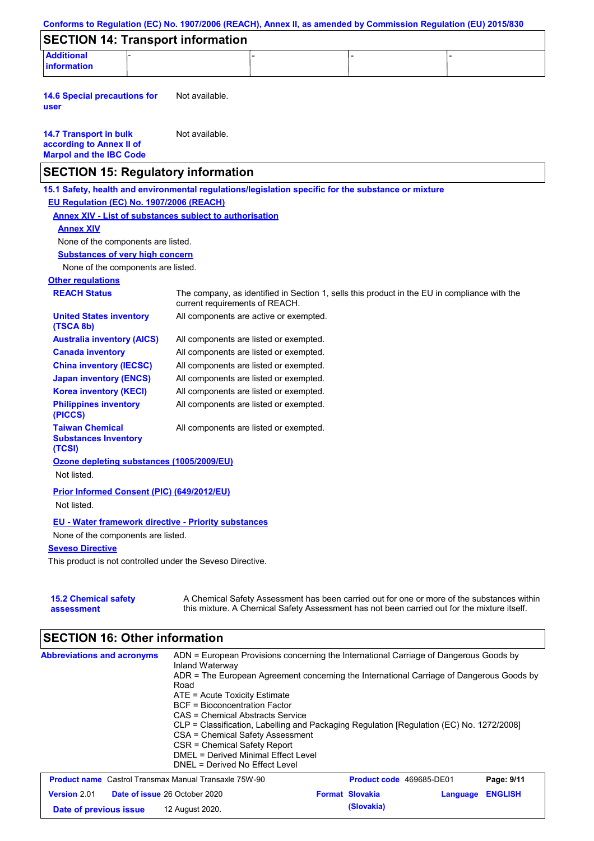|                                                                                                                                                                                                                | Conforms to Regulation (EC) No. 1907/2006 (REACH), Annex II, as amended by Commission Regulation (EU) 2015/830                                                                            |
|----------------------------------------------------------------------------------------------------------------------------------------------------------------------------------------------------------------|-------------------------------------------------------------------------------------------------------------------------------------------------------------------------------------------|
| <b>SECTION 14: Transport information</b>                                                                                                                                                                       |                                                                                                                                                                                           |
| <b>Additional</b><br>information                                                                                                                                                                               |                                                                                                                                                                                           |
| <b>14.6 Special precautions for</b><br>user                                                                                                                                                                    | Not available.                                                                                                                                                                            |
| <b>14.7 Transport in bulk</b><br>according to Annex II of<br><b>Marpol and the IBC Code</b>                                                                                                                    | Not available.                                                                                                                                                                            |
| <b>SECTION 15: Regulatory information</b>                                                                                                                                                                      |                                                                                                                                                                                           |
| EU Regulation (EC) No. 1907/2006 (REACH)<br><b>Annex XIV - List of substances subject to authorisation</b><br><b>Annex XIV</b><br>None of the components are listed.<br><b>Substances of very high concern</b> | 15.1 Safety, health and environmental regulations/legislation specific for the substance or mixture                                                                                       |
| None of the components are listed.                                                                                                                                                                             |                                                                                                                                                                                           |
| <b>Other regulations</b><br><b>REACH Status</b>                                                                                                                                                                | The company, as identified in Section 1, sells this product in the EU in compliance with the<br>current requirements of REACH.                                                            |
| <b>United States inventory</b><br>(TSCA 8b)                                                                                                                                                                    | All components are active or exempted.                                                                                                                                                    |
| <b>Australia inventory (AICS)</b>                                                                                                                                                                              | All components are listed or exempted.                                                                                                                                                    |
| <b>Canada inventory</b>                                                                                                                                                                                        | All components are listed or exempted.                                                                                                                                                    |
| <b>China inventory (IECSC)</b>                                                                                                                                                                                 | All components are listed or exempted.                                                                                                                                                    |
| <b>Japan inventory (ENCS)</b>                                                                                                                                                                                  | All components are listed or exempted.                                                                                                                                                    |
| <b>Korea inventory (KECI)</b>                                                                                                                                                                                  | All components are listed or exempted.                                                                                                                                                    |
| <b>Philippines inventory</b><br>(PICCS)                                                                                                                                                                        | All components are listed or exempted.                                                                                                                                                    |
| <b>Taiwan Chemical</b><br><b>Substances Inventory</b><br>(TCSI)                                                                                                                                                | All components are listed or exempted.                                                                                                                                                    |
| Ozone depleting substances (1005/2009/EU)<br>Not listed.                                                                                                                                                       |                                                                                                                                                                                           |
| <b>Prior Informed Consent (PIC) (649/2012/EU)</b><br>Not listed.                                                                                                                                               |                                                                                                                                                                                           |
| <b>EU - Water framework directive - Priority substances</b><br>None of the components are listed.<br><b>Seveso Directive</b><br>This product is not controlled under the Seveso Directive.                     |                                                                                                                                                                                           |
| <b>15.2 Chemical safety</b><br>assessment                                                                                                                                                                      | A Chemical Safety Assessment has been carried out for one or more of the substances within<br>this mixture. A Chemical Safety Assessment has not been carried out for the mixture itself. |

# **SECTION 16: Other information**

| <b>Abbreviations and acronyms</b>                            | ADN = European Provisions concerning the International Carriage of Dangerous Goods by<br>Inland Waterway<br>ADR = The European Agreement concerning the International Carriage of Dangerous Goods by<br>Road<br>$ATE = Acute Toxicity Estimate$<br>BCF = Bioconcentration Factor<br>CAS = Chemical Abstracts Service<br>CLP = Classification, Labelling and Packaging Regulation [Regulation (EC) No. 1272/2008]<br>CSA = Chemical Safety Assessment<br>CSR = Chemical Safety Report<br>DMFL = Derived Minimal Fffect Level<br>DNEL = Derived No Effect Level |                          |          |                |
|--------------------------------------------------------------|---------------------------------------------------------------------------------------------------------------------------------------------------------------------------------------------------------------------------------------------------------------------------------------------------------------------------------------------------------------------------------------------------------------------------------------------------------------------------------------------------------------------------------------------------------------|--------------------------|----------|----------------|
| <b>Product name</b> Castrol Transmax Manual Transaxle 75W-90 |                                                                                                                                                                                                                                                                                                                                                                                                                                                                                                                                                               | Product code 469685-DE01 |          | Page: 9/11     |
| Version 2.01                                                 | Date of issue 26 October 2020                                                                                                                                                                                                                                                                                                                                                                                                                                                                                                                                 | <b>Format Slovakia</b>   | Language | <b>ENGLISH</b> |
| Date of previous issue                                       | 12 August 2020.                                                                                                                                                                                                                                                                                                                                                                                                                                                                                                                                               | (Slovakia)               |          |                |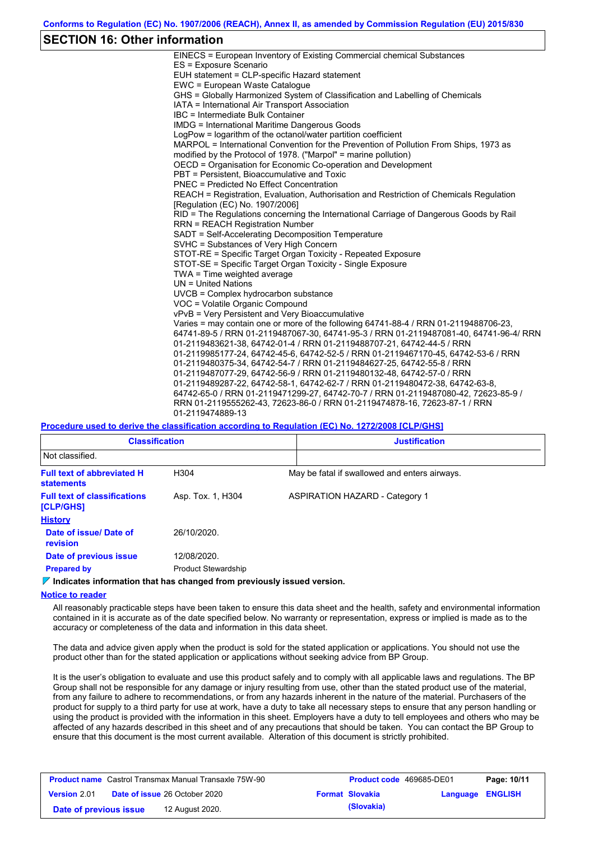### **SECTION 16: Other information**

| EINECS = European Inventory of Existing Commercial chemical Substances                  |
|-----------------------------------------------------------------------------------------|
| ES = Exposure Scenario                                                                  |
| EUH statement = CLP-specific Hazard statement                                           |
| EWC = European Waste Catalogue                                                          |
| GHS = Globally Harmonized System of Classification and Labelling of Chemicals           |
| IATA = International Air Transport Association                                          |
| IBC = Intermediate Bulk Container                                                       |
| IMDG = International Maritime Dangerous Goods                                           |
| LogPow = logarithm of the octanol/water partition coefficient                           |
| MARPOL = International Convention for the Prevention of Pollution From Ships, 1973 as   |
| modified by the Protocol of 1978. ("Marpol" = marine pollution)                         |
| OECD = Organisation for Economic Co-operation and Development                           |
| PBT = Persistent, Bioaccumulative and Toxic                                             |
| <b>PNEC = Predicted No Effect Concentration</b>                                         |
| REACH = Registration, Evaluation, Authorisation and Restriction of Chemicals Regulation |
| [Requlation (EC) No. 1907/2006]                                                         |
| RID = The Regulations concerning the International Carriage of Dangerous Goods by Rail  |
| <b>RRN = REACH Registration Number</b>                                                  |
| SADT = Self-Accelerating Decomposition Temperature                                      |
| SVHC = Substances of Very High Concern                                                  |
| STOT-RE = Specific Target Organ Toxicity - Repeated Exposure                            |
| STOT-SE = Specific Target Organ Toxicity - Single Exposure                              |
| TWA = Time weighted average                                                             |
| $UN = United Nations$                                                                   |
| UVCB = Complex hydrocarbon substance                                                    |
| VOC = Volatile Organic Compound                                                         |
| vPvB = Very Persistent and Very Bioaccumulative                                         |
| Varies = may contain one or more of the following 64741-88-4 / RRN 01-2119488706-23,    |
| 64741-89-5 / RRN 01-2119487067-30, 64741-95-3 / RRN 01-2119487081-40, 64741-96-4/ RRN   |
| 01-2119483621-38, 64742-01-4 / RRN 01-2119488707-21, 64742-44-5 / RRN                   |
| 01-2119985177-24, 64742-45-6, 64742-52-5 / RRN 01-2119467170-45, 64742-53-6 / RRN       |
| 01-2119480375-34, 64742-54-7 / RRN 01-2119484627-25, 64742-55-8 / RRN                   |
| 01-2119487077-29, 64742-56-9 / RRN 01-2119480132-48, 64742-57-0 / RRN                   |
| 01-2119489287-22, 64742-58-1, 64742-62-7 / RRN 01-2119480472-38, 64742-63-8,            |
| 64742-65-0 / RRN 01-2119471299-27, 64742-70-7 / RRN 01-2119487080-42, 72623-85-9 /      |
| RRN 01-2119555262-43, 72623-86-0 / RRN 01-2119474878-16, 72623-87-1 / RRN               |
| 01-2119474889-13                                                                        |
|                                                                                         |

#### **Procedure used to derive the classification according to Regulation (EC) No. 1272/2008 [CLP/GHS]**

| <b>Classification</b>                                  |                            | <b>Justification</b>                          |
|--------------------------------------------------------|----------------------------|-----------------------------------------------|
| Not classified.                                        |                            |                                               |
| <b>Full text of abbreviated H</b><br><b>statements</b> | H304                       | May be fatal if swallowed and enters airways. |
| <b>Full text of classifications</b><br>[CLP/GHS]       | Asp. Tox. 1, H304          | <b>ASPIRATION HAZARD - Category 1</b>         |
| <b>History</b>                                         |                            |                                               |
| Date of issue/ Date of<br>revision                     | 26/10/2020.                |                                               |
| Date of previous issue                                 | 12/08/2020.                |                                               |
| <b>Prepared by</b>                                     | <b>Product Stewardship</b> |                                               |

### **Indicates information that has changed from previously issued version.**

#### **Notice to reader**

All reasonably practicable steps have been taken to ensure this data sheet and the health, safety and environmental information contained in it is accurate as of the date specified below. No warranty or representation, express or implied is made as to the accuracy or completeness of the data and information in this data sheet.

The data and advice given apply when the product is sold for the stated application or applications. You should not use the product other than for the stated application or applications without seeking advice from BP Group.

It is the user's obligation to evaluate and use this product safely and to comply with all applicable laws and regulations. The BP Group shall not be responsible for any damage or injury resulting from use, other than the stated product use of the material, from any failure to adhere to recommendations, or from any hazards inherent in the nature of the material. Purchasers of the product for supply to a third party for use at work, have a duty to take all necessary steps to ensure that any person handling or using the product is provided with the information in this sheet. Employers have a duty to tell employees and others who may be affected of any hazards described in this sheet and of any precautions that should be taken. You can contact the BP Group to ensure that this document is the most current available. Alteration of this document is strictly prohibited.

| <b>Product name</b> Castrol Transmax Manual Transaxle 75W-90 |  | <b>Product code</b> 469685-DE01      |  | Page: 10/11            |                  |  |
|--------------------------------------------------------------|--|--------------------------------------|--|------------------------|------------------|--|
| <b>Version 2.01</b>                                          |  | <b>Date of issue 26 October 2020</b> |  | <b>Format Slovakia</b> | Language ENGLISH |  |
| Date of previous issue                                       |  | 12 August 2020.                      |  | (Slovakia)             |                  |  |